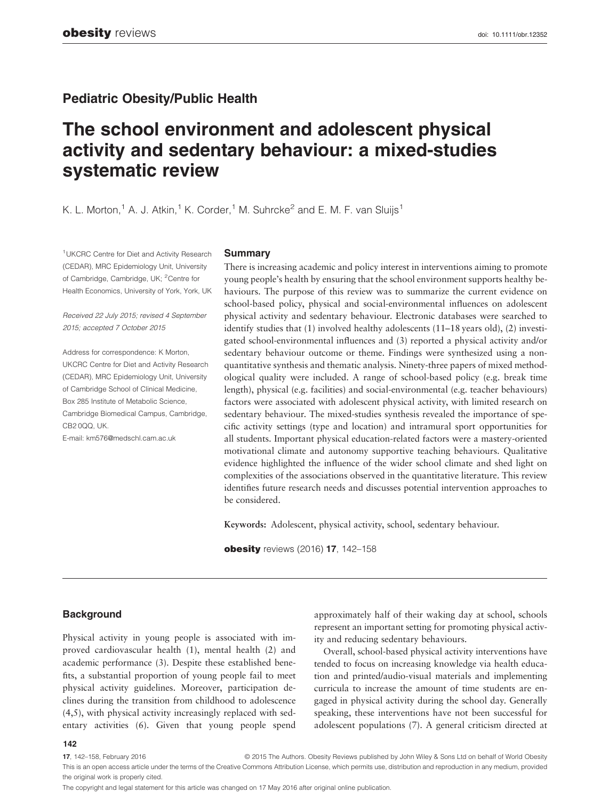# Pediatric Obesity/Public Health

# The school environment and adolescent physical activity and sedentary behaviour: a mixed-studies systematic review

K. L. Morton,<sup>1</sup> A. J. Atkin,<sup>1</sup> K. Corder,<sup>1</sup> M. Suhrcke<sup>2</sup> and E. M. F. van Sluijs<sup>1</sup>

1 UKCRC Centre for Diet and Activity Research (CEDAR), MRC Epidemiology Unit, University of Cambridge, Cambridge, UK; <sup>2</sup>Centre for Health Economics, University of York, York, UK

Received 22 July 2015; revised 4 September 2015; accepted 7 October 2015

Address for correspondence: K Morton, UKCRC Centre for Diet and Activity Research (CEDAR), MRC Epidemiology Unit, University of Cambridge School of Clinical Medicine, Box 285 Institute of Metabolic Science, Cambridge Biomedical Campus, Cambridge, CB2 0QQ, UK.

E-mail: km576@medschl.cam.ac.uk

#### Summary

There is increasing academic and policy interest in interventions aiming to promote young people's health by ensuring that the school environment supports healthy behaviours. The purpose of this review was to summarize the current evidence on school-based policy, physical and social-environmental influences on adolescent physical activity and sedentary behaviour. Electronic databases were searched to identify studies that (1) involved healthy adolescents (11–18 years old), (2) investigated school-environmental influences and (3) reported a physical activity and/or sedentary behaviour outcome or theme. Findings were synthesized using a nonquantitative synthesis and thematic analysis. Ninety-three papers of mixed methodological quality were included. A range of school-based policy (e.g. break time length), physical (e.g. facilities) and social-environmental (e.g. teacher behaviours) factors were associated with adolescent physical activity, with limited research on sedentary behaviour. The mixed-studies synthesis revealed the importance of specific activity settings (type and location) and intramural sport opportunities for all students. Important physical education-related factors were a mastery-oriented motivational climate and autonomy supportive teaching behaviours. Qualitative evidence highlighted the influence of the wider school climate and shed light on complexities of the associations observed in the quantitative literature. This review identifies future research needs and discusses potential intervention approaches to be considered.

Keywords: Adolescent, physical activity, school, sedentary behaviour.

obesity reviews (2016) 17, 142-158

### **Background**

Physical activity in young people is associated with improved cardiovascular health (1), mental health (2) and academic performance (3). Despite these established benefits, a substantial proportion of young people fail to meet physical activity guidelines. Moreover, participation declines during the transition from childhood to adolescence (4,5), with physical activity increasingly replaced with sedentary activities (6). Given that young people spend

approximately half of their waking day at school, schools represent an important setting for promoting physical activity and reducing sedentary behaviours.

Overall, school-based physical activity interventions have tended to focus on increasing knowledge via health education and printed/audio-visual materials and implementing curricula to increase the amount of time students are engaged in physical activity during the school day. Generally speaking, these interventions have not been successful for adolescent populations (7). A general criticism directed at

### 142

17, 142–158, February 2016 © 2015 The Authors. Obesity Reviews published by John Wiley & Sons Ltd on behalf of World Obesity

This is an open access article under the terms of the [Creative Commons Attribution](http://creativecommons.org/licenses/by/4.0/) License, which permits use, distribution and reproduction in any medium, provided the original work is properly cited.

The copyright and legal statement for this article was changed on 17 May 2016 after original online publication.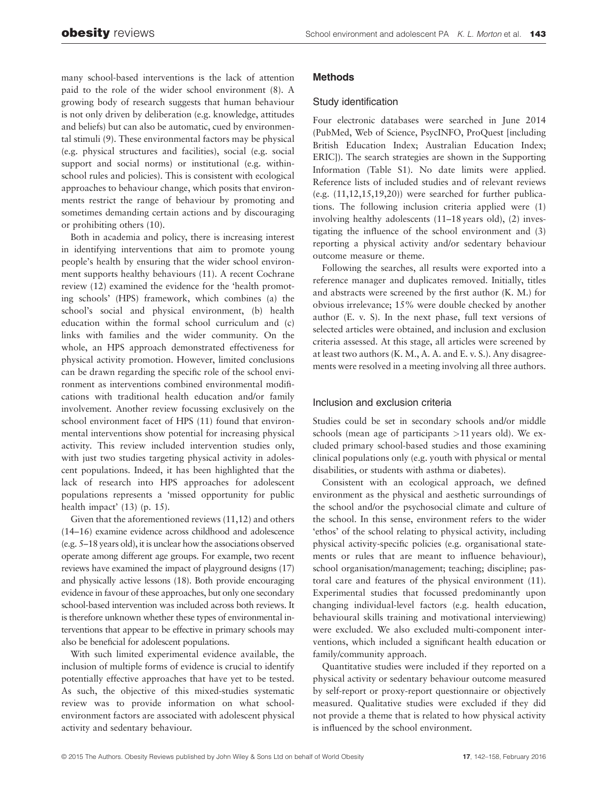many school-based interventions is the lack of attention paid to the role of the wider school environment (8). A growing body of research suggests that human behaviour is not only driven by deliberation (e.g. knowledge, attitudes and beliefs) but can also be automatic, cued by environmental stimuli (9). These environmental factors may be physical (e.g. physical structures and facilities), social (e.g. social support and social norms) or institutional (e.g. withinschool rules and policies). This is consistent with ecological approaches to behaviour change, which posits that environments restrict the range of behaviour by promoting and sometimes demanding certain actions and by discouraging or prohibiting others (10).

Both in academia and policy, there is increasing interest in identifying interventions that aim to promote young people's health by ensuring that the wider school environment supports healthy behaviours (11). A recent Cochrane review (12) examined the evidence for the 'health promoting schools' (HPS) framework, which combines (a) the school's social and physical environment, (b) health education within the formal school curriculum and (c) links with families and the wider community. On the whole, an HPS approach demonstrated effectiveness for physical activity promotion. However, limited conclusions can be drawn regarding the specific role of the school environment as interventions combined environmental modifications with traditional health education and/or family involvement. Another review focussing exclusively on the school environment facet of HPS (11) found that environmental interventions show potential for increasing physical activity. This review included intervention studies only, with just two studies targeting physical activity in adolescent populations. Indeed, it has been highlighted that the lack of research into HPS approaches for adolescent populations represents a 'missed opportunity for public health impact' (13) (p. 15).

Given that the aforementioned reviews (11,12) and others (14–16) examine evidence across childhood and adolescence (e.g. 5–18 years old), it is unclear how the associations observed operate among different age groups. For example, two recent reviews have examined the impact of playground designs (17) and physically active lessons (18). Both provide encouraging evidence in favour of these approaches, but only one secondary school-based intervention was included across both reviews. It is therefore unknown whether these types of environmental interventions that appear to be effective in primary schools may also be beneficial for adolescent populations.

With such limited experimental evidence available, the inclusion of multiple forms of evidence is crucial to identify potentially effective approaches that have yet to be tested. As such, the objective of this mixed-studies systematic review was to provide information on what schoolenvironment factors are associated with adolescent physical activity and sedentary behaviour.

### Methods

### Study identification

Four electronic databases were searched in June 2014 (PubMed, Web of Science, PsycINFO, ProQuest [including British Education Index; Australian Education Index; ERIC]). The search strategies are shown in the Supporting Information (Table S1). No date limits were applied. Reference lists of included studies and of relevant reviews (e.g. (11,12,15,19,20)) were searched for further publications. The following inclusion criteria applied were (1) involving healthy adolescents (11–18 years old), (2) investigating the influence of the school environment and (3) reporting a physical activity and/or sedentary behaviour outcome measure or theme.

Following the searches, all results were exported into a reference manager and duplicates removed. Initially, titles and abstracts were screened by the first author (K. M.) for obvious irrelevance; 15% were double checked by another author (E. v. S). In the next phase, full text versions of selected articles were obtained, and inclusion and exclusion criteria assessed. At this stage, all articles were screened by at least two authors (K. M., A. A. and E. v. S.). Any disagreements were resolved in a meeting involving all three authors.

### Inclusion and exclusion criteria

Studies could be set in secondary schools and/or middle schools (mean age of participants >11 years old). We excluded primary school-based studies and those examining clinical populations only (e.g. youth with physical or mental disabilities, or students with asthma or diabetes).

Consistent with an ecological approach, we defined environment as the physical and aesthetic surroundings of the school and/or the psychosocial climate and culture of the school. In this sense, environment refers to the wider 'ethos' of the school relating to physical activity, including physical activity-specific policies (e.g. organisational statements or rules that are meant to influence behaviour), school organisation/management; teaching; discipline; pastoral care and features of the physical environment (11). Experimental studies that focussed predominantly upon changing individual-level factors (e.g. health education, behavioural skills training and motivational interviewing) were excluded. We also excluded multi-component interventions, which included a significant health education or family/community approach.

Quantitative studies were included if they reported on a physical activity or sedentary behaviour outcome measured by self-report or proxy-report questionnaire or objectively measured. Qualitative studies were excluded if they did not provide a theme that is related to how physical activity is influenced by the school environment.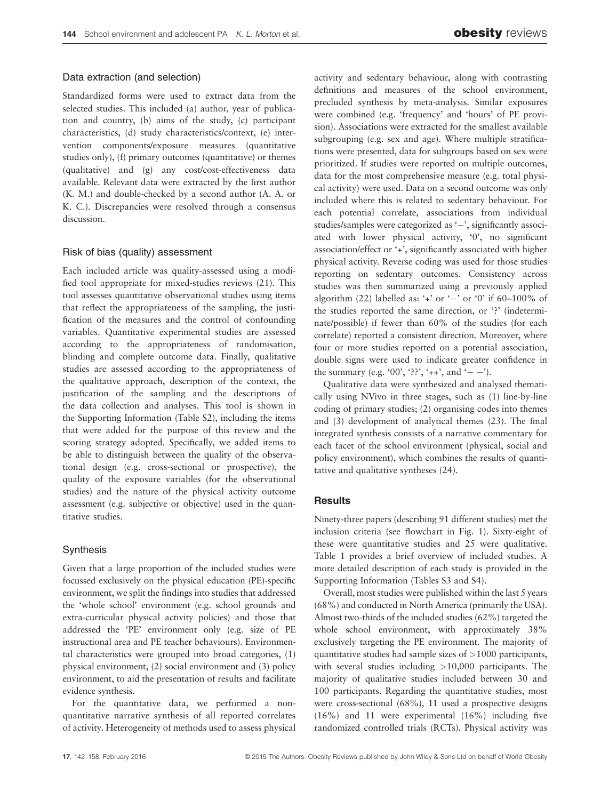### Data extraction (and selection)

Standardized forms were used to extract data from the selected studies. This included (a) author, year of publication and country, (b) aims of the study, (c) participant characteristics, (d) study characteristics/context, (e) intervention components/exposure measures (quantitative studies only), (f) primary outcomes (quantitative) or themes (qualitative) and (g) any cost/cost-effectiveness data available. Relevant data were extracted by the first author (K. M.) and double-checked by a second author (A. A. or K. C.). Discrepancies were resolved through a consensus discussion.

#### Risk of bias (quality) assessment

Each included article was quality-assessed using a modified tool appropriate for mixed-studies reviews (21). This tool assesses quantitative observational studies using items that reflect the appropriateness of the sampling, the justification of the measures and the control of confounding variables. Quantitative experimental studies are assessed according to the appropriateness of randomisation, blinding and complete outcome data. Finally, qualitative studies are assessed according to the appropriateness of the qualitative approach, description of the context, the justification of the sampling and the descriptions of the data collection and analyses. This tool is shown in the Supporting Information (Table S2), including the items that were added for the purpose of this review and the scoring strategy adopted. Specifically, we added items to be able to distinguish between the quality of the observational design (e.g. cross-sectional or prospective), the quality of the exposure variables (for the observational studies) and the nature of the physical activity outcome assessment (e.g. subjective or objective) used in the quantitative studies.

### **Synthesis**

Given that a large proportion of the included studies were focussed exclusively on the physical education (PE)-specific environment, we split the findings into studies that addressed the 'whole school' environment (e.g. school grounds and extra-curricular physical activity policies) and those that addressed the 'PE' environment only (e.g. size of PE instructional area and PE teacher behaviours). Environmental characteristics were grouped into broad categories, (1) physical environment, (2) social environment and (3) policy environment, to aid the presentation of results and facilitate evidence synthesis.

For the quantitative data, we performed a nonquantitative narrative synthesis of all reported correlates of activity. Heterogeneity of methods used to assess physical

activity and sedentary behaviour, along with contrasting definitions and measures of the school environment, precluded synthesis by meta-analysis. Similar exposures were combined (e.g. 'frequency' and 'hours' of PE provision). Associations were extracted for the smallest available subgrouping (e.g. sex and age). Where multiple stratifications were presented, data for subgroups based on sex were prioritized. If studies were reported on multiple outcomes, data for the most comprehensive measure (e.g. total physical activity) were used. Data on a second outcome was only included where this is related to sedentary behaviour. For each potential correlate, associations from individual studies/samples were categorized as '-', significantly associated with lower physical activity, '0', no significant association/effect or '+', significantly associated with higher physical activity. Reverse coding was used for those studies reporting on sedentary outcomes. Consistency across studies was then summarized using a previously applied algorithm (22) labelled as: '+' or '-' or '0' if 60-100% of the studies reported the same direction, or '?' (indeterminate/possible) if fewer than 60% of the studies (for each correlate) reported a consistent direction. Moreover, where four or more studies reported on a potential association, double signs were used to indicate greater confidence in the summary (e.g. '00', '??', '++', and '- -').

Qualitative data were synthesized and analysed thematically using NVivo in three stages, such as (1) line-by-line coding of primary studies; (2) organising codes into themes and (3) development of analytical themes (23). The final integrated synthesis consists of a narrative commentary for each facet of the school environment (physical, social and policy environment), which combines the results of quantitative and qualitative syntheses (24).

### Results

Ninety-three papers (describing 91 different studies) met the inclusion criteria (see flowchart in Fig. 1). Sixty-eight of these were quantitative studies and 25 were qualitative. Table 1 provides a brief overview of included studies. A more detailed description of each study is provided in the Supporting Information (Tables S3 and S4).

Overall, most studies were published within the last 5 years (68%) and conducted in North America (primarily the USA). Almost two-thirds of the included studies (62%) targeted the whole school environment, with approximately 38% exclusively targeting the PE environment. The majority of quantitative studies had sample sizes of >1000 participants, with several studies including >10,000 participants. The majority of qualitative studies included between 30 and 100 participants. Regarding the quantitative studies, most were cross-sectional (68%), 11 used a prospective designs (16%) and 11 were experimental (16%) including five randomized controlled trials (RCTs). Physical activity was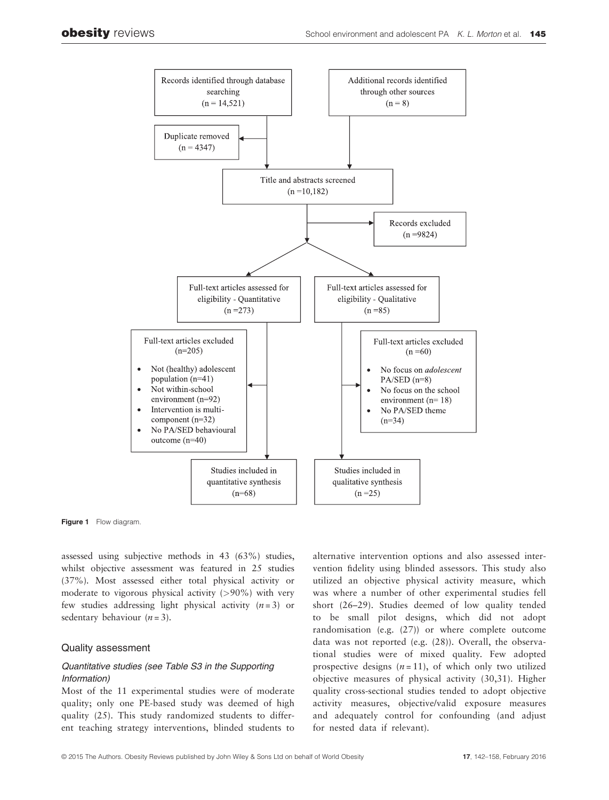

Figure 1 Flow diagram.

assessed using subjective methods in 43 (63%) studies, whilst objective assessment was featured in 25 studies (37%). Most assessed either total physical activity or moderate to vigorous physical activity (>90%) with very few studies addressing light physical activity  $(n=3)$  or sedentary behaviour  $(n=3)$ .

### Quality assessment

# Quantitative studies (see Table S3 in the Supporting Information)

Most of the 11 experimental studies were of moderate quality; only one PE-based study was deemed of high quality (25). This study randomized students to different teaching strategy interventions, blinded students to

alternative intervention options and also assessed intervention fidelity using blinded assessors. This study also utilized an objective physical activity measure, which was where a number of other experimental studies fell short (26–29). Studies deemed of low quality tended to be small pilot designs, which did not adopt randomisation (e.g. (27)) or where complete outcome data was not reported (e.g. (28)). Overall, the observational studies were of mixed quality. Few adopted prospective designs  $(n = 11)$ , of which only two utilized objective measures of physical activity (30,31). Higher quality cross-sectional studies tended to adopt objective activity measures, objective/valid exposure measures and adequately control for confounding (and adjust for nested data if relevant).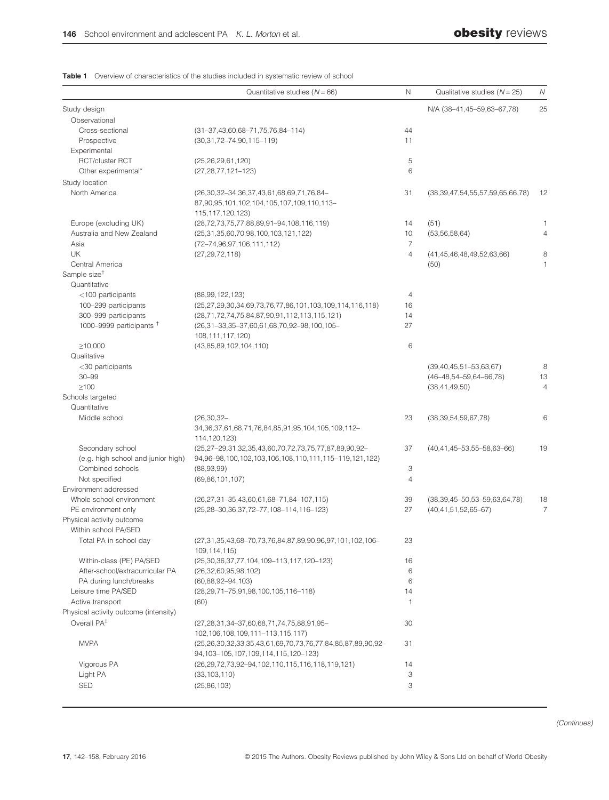|                                       | Quantitative studies $(N = 66)$                                              | Ν              | Qualitative studies $(N = 25)$             | Ν              |
|---------------------------------------|------------------------------------------------------------------------------|----------------|--------------------------------------------|----------------|
| Study design                          |                                                                              |                | N/A (38-41,45-59,63-67,78)                 | 25             |
| Observational                         |                                                                              |                |                                            |                |
| Cross-sectional                       | $(31-37, 43, 60, 68-71, 75, 76, 84-114)$                                     | 44             |                                            |                |
| Prospective                           | $(30,31,72-74,90,115-119)$                                                   | 11             |                                            |                |
| Experimental                          |                                                                              |                |                                            |                |
| <b>RCT/cluster RCT</b>                | (25, 26, 29, 61, 120)                                                        | 5              |                                            |                |
| Other experimental*                   | $(27, 28, 77, 121 - 123)$                                                    | 6              |                                            |                |
| Study location                        |                                                                              |                |                                            |                |
| North America                         | (26,30,32-34,36,37,43,61,68,69,71,76,84-                                     | 31             | $(38, 39, 47, 54, 55, 57, 59, 65, 66, 78)$ | 12             |
|                                       |                                                                              |                |                                            |                |
|                                       | 87,90,95,101,102,104,105,107,109,110,113-                                    |                |                                            |                |
|                                       | 115, 117, 120, 123)                                                          |                |                                            |                |
| Europe (excluding UK)                 | (28, 72, 73, 75, 77, 88, 89, 91 - 94, 108, 116, 119)                         | 14             | (51)                                       | 1              |
| Australia and New Zealand             | (25,31,35,60,70,98,100,103,121,122)                                          | 10             | (53, 56, 58, 64)                           | 4              |
| Asia                                  | $(72 - 74, 96, 97, 106, 111, 112)$                                           | 7              |                                            |                |
| UK                                    | (27, 29, 72, 118)                                                            | $\overline{4}$ | (41, 45, 46, 48, 49, 52, 63, 66)           |                |
| Central America                       |                                                                              |                | (50)                                       |                |
| Sample size <sup>+</sup>              |                                                                              |                |                                            |                |
| Quantitative                          |                                                                              |                |                                            |                |
| <100 participants                     | (88,99,122,123)                                                              | $\overline{4}$ |                                            |                |
| 100-299 participants                  | (25, 27, 29, 30, 34, 69, 73, 76, 77, 86, 101, 103, 109, 114, 116, 118)       | 16             |                                            |                |
| 300-999 participants                  | (28,71,72,74,75,84,87,90,91,112,113,115,121)                                 | 14             |                                            |                |
| 1000-9999 participants $†$            | (26,31-33,35-37,60,61,68,70,92-98,100,105-                                   | 27             |                                            |                |
|                                       | 108, 111, 117, 120)                                                          |                |                                            |                |
| $\geq 10,000$                         | (43, 85, 89, 102, 104, 110)                                                  | 6              |                                            |                |
| Qualitative                           |                                                                              |                |                                            |                |
| <30 participants                      |                                                                              |                | $(39, 40, 45, 51 - 53, 63, 67)$            | 8              |
| $30 - 99$                             |                                                                              |                | $(46 - 48, 54 - 59, 64 - 66, 78)$          | 13             |
| $\geq$ 100                            |                                                                              |                | (38, 41, 49, 50)                           | $\overline{4}$ |
| Schools targeted                      |                                                                              |                |                                            |                |
| Quantitative                          |                                                                              |                |                                            |                |
| Middle school                         | $(26, 30, 32 -$                                                              | 23             | (38, 39, 54, 59, 67, 78)                   | 6              |
|                                       | 34, 36, 37, 61, 68, 71, 76, 84, 85, 91, 95, 104, 105, 109, 112-              |                |                                            |                |
|                                       | 114, 120, 123)                                                               |                |                                            |                |
| Secondary school                      | (25,27-29,31,32,35,43,60,70,72,73,75,77,87,89,90,92-                         | 37             | $(40, 41, 45 - 53, 55 - 58, 63 - 66)$      | 19             |
| (e.g. high school and junior high)    | 94,96-98,100,102,103,106,108,110,111,115-119,121,122)                        |                |                                            |                |
| Combined schools                      | (88, 93, 99)                                                                 | 3              |                                            |                |
| Not specified                         | (69, 86, 101, 107)                                                           | $\overline{4}$ |                                            |                |
| Environment addressed                 |                                                                              |                |                                            |                |
| Whole school environment              | $(26, 27, 31 - 35, 43, 60, 61, 68 - 71, 84 - 107, 115)$                      | 39             | $(38, 39, 45 - 50, 53 - 59, 63, 64, 78)$   | 18             |
| PE environment only                   | (25, 28 - 30, 36, 37, 72 - 77, 108 - 114, 116 - 123)                         | 27             | $(40, 41, 51, 52, 65 - 67)$                | 7              |
| Physical activity outcome             |                                                                              |                |                                            |                |
| Within school PA/SED                  |                                                                              |                |                                            |                |
| Total PA in school day                | (27, 31, 35, 43, 68-70, 73, 76, 84, 87, 89, 90, 96, 97, 101, 102, 106-       | 23             |                                            |                |
|                                       | 109, 114, 115)                                                               |                |                                            |                |
| Within-class (PE) PA/SED              | (25, 30, 36, 37, 77, 104, 109 - 113, 117, 120 - 123)                         | 16             |                                            |                |
| After-school/extracurricular PA       |                                                                              | 6              |                                            |                |
|                                       | (26, 32, 60, 95, 98, 102)                                                    |                |                                            |                |
| PA during lunch/breaks                | $(60, 88, 92 - 94, 103)$                                                     | 6              |                                            |                |
| Leisure time PA/SED                   | (28, 29, 71 - 75, 91, 98, 100, 105, 116 - 118)                               | 14             |                                            |                |
| Active transport                      | (60)                                                                         | $\mathbf{1}$   |                                            |                |
| Physical activity outcome (intensity) |                                                                              |                |                                            |                |
| Overall PA <sup>‡</sup>               | (27, 28, 31, 34 - 37, 60, 68, 71, 74, 75, 88, 91, 95 -                       | 30             |                                            |                |
|                                       | 102, 106, 108, 109, 111-113, 115, 117)                                       |                |                                            |                |
| <b>MVPA</b>                           | (25, 26, 30, 32, 33, 35, 43, 61, 69, 70, 73, 76, 77, 84, 85, 87, 89, 90, 92- | 31             |                                            |                |
|                                       | 94, 103-105, 107, 109, 114, 115, 120-123)                                    |                |                                            |                |
| Vigorous PA                           | $(26, 29, 72, 73, 92 - 94, 102, 110, 115, 116, 118, 119, 121)$               | 14             |                                            |                |
| Light PA                              | (33, 103, 110)                                                               | 3              |                                            |                |
| <b>SED</b>                            | (25, 86, 103)                                                                | 3              |                                            |                |

Table 1 Overview of characteristics of the studies included in systematic review of school

(Continues)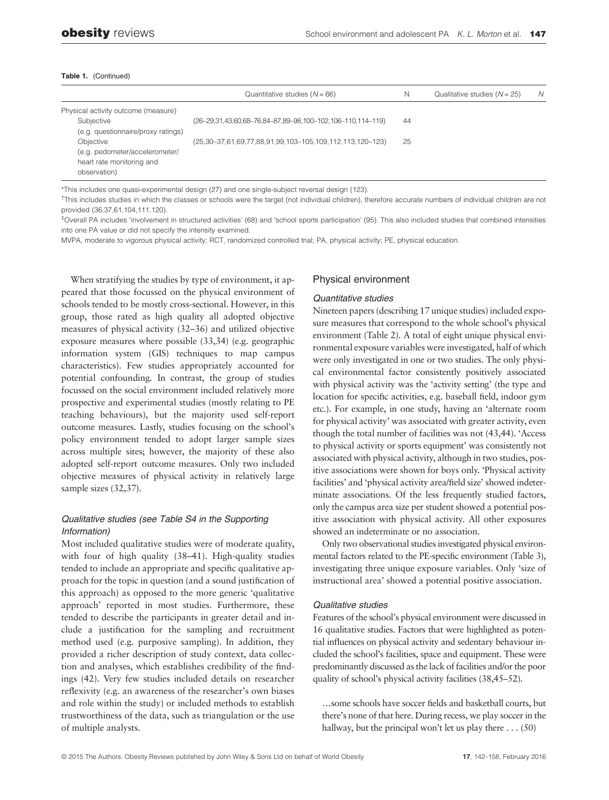#### Table 1. (Continued)

|                                                                                          | Quantitative studies $(N = 66)$                              | N  | Qualitative studies $(N = 25)$ | N |
|------------------------------------------------------------------------------------------|--------------------------------------------------------------|----|--------------------------------|---|
| Physical activity outcome (measure)                                                      |                                                              |    |                                |   |
| Subjective<br>(e.g. questionnaire/proxy ratings)                                         | $(26-29,31,43,60,68-76,84-87,89-98,100-102,106-110,114-119)$ | 44 |                                |   |
| Objective<br>(e.g. pedometer/accelerometer/<br>heart rate monitoring and<br>observation) | $(25,30-37,61,69,77,88,91,99,103-105,109,112,113,120-123)$   | 25 |                                |   |

\*This includes one quasi-experimental design (27) and one single-subject reversal design (123).

† This includes studies in which the classes or schools were the target (not individual children), therefore accurate numbers of individual children are not provided (36,37,61,104,111,120).

‡ Overall PA includes 'involvement in structured activities' (68) and 'school sports participation' (95). This also included studies that combined intensities into one PA value or did not specify the intensity examined.

MVPA, moderate to vigorous physical activity; RCT, randomized controlled trial; PA, physical activity; PE, physical education.

When stratifying the studies by type of environment, it appeared that those focussed on the physical environment of schools tended to be mostly cross-sectional. However, in this group, those rated as high quality all adopted objective measures of physical activity (32–36) and utilized objective exposure measures where possible (33,34) (e.g. geographic information system (GIS) techniques to map campus characteristics). Few studies appropriately accounted for potential confounding. In contrast, the group of studies focussed on the social environment included relatively more prospective and experimental studies (mostly relating to PE teaching behaviours), but the majority used self-report outcome measures. Lastly, studies focusing on the school's policy environment tended to adopt larger sample sizes across multiple sites; however, the majority of these also adopted self-report outcome measures. Only two included objective measures of physical activity in relatively large sample sizes (32,37).

# Qualitative studies (see Table S4 in the Supporting Information)

Most included qualitative studies were of moderate quality, with four of high quality (38–41). High-quality studies tended to include an appropriate and specific qualitative approach for the topic in question (and a sound justification of this approach) as opposed to the more generic 'qualitative approach' reported in most studies. Furthermore, these tended to describe the participants in greater detail and include a justification for the sampling and recruitment method used (e.g. purposive sampling). In addition, they provided a richer description of study context, data collection and analyses, which establishes credibility of the findings (42). Very few studies included details on researcher reflexivity (e.g. an awareness of the researcher's own biases and role within the study) or included methods to establish trustworthiness of the data, such as triangulation or the use of multiple analysts.

### Physical environment

#### Quantitative studies

Nineteen papers (describing 17 unique studies) included exposure measures that correspond to the whole school's physical environment (Table 2). A total of eight unique physical environmental exposure variables were investigated, half of which were only investigated in one or two studies. The only physical environmental factor consistently positively associated with physical activity was the 'activity setting' (the type and location for specific activities, e.g. baseball field, indoor gym etc.). For example, in one study, having an 'alternate room for physical activity' was associated with greater activity, even though the total number of facilities was not (43,44). 'Access to physical activity or sports equipment' was consistently not associated with physical activity, although in two studies, positive associations were shown for boys only. 'Physical activity facilities' and 'physical activity area/field size' showed indeterminate associations. Of the less frequently studied factors, only the campus area size per student showed a potential positive association with physical activity. All other exposures showed an indeterminate or no association.

Only two observational studies investigated physical environmental factors related to the PE-specific environment (Table 3), investigating three unique exposure variables. Only 'size of instructional area' showed a potential positive association.

### Qualitative studies

Features of the school's physical environment were discussed in 16 qualitative studies. Factors that were highlighted as potential influences on physical activity and sedentary behaviour included the school's facilities, space and equipment. These were predominantly discussed as the lack of facilities and/or the poor quality of school's physical activity facilities (38,45–52).

…some schools have soccer fields and basketball courts, but there's none of that here. During recess, we play soccer in the hallway, but the principal won't let us play there . . . (50)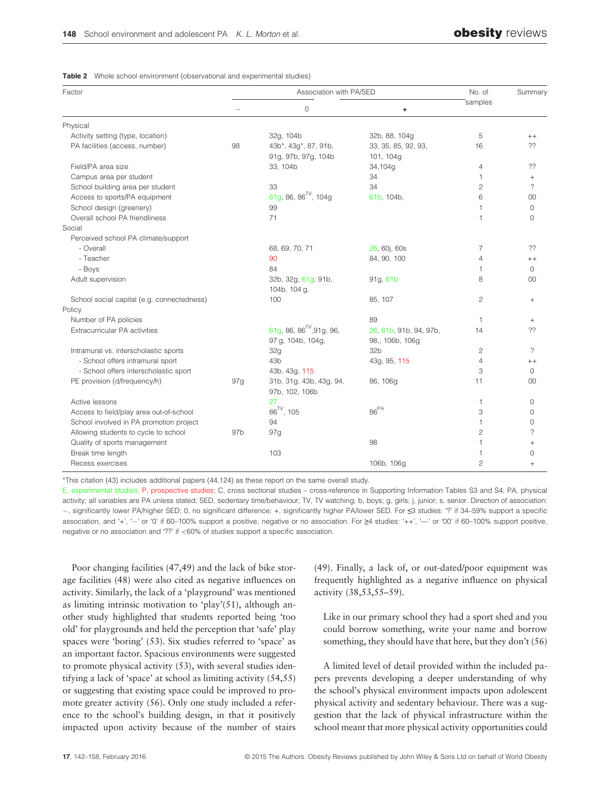Table 2 Whole school environment (observational and experimental studies)

| Factor                                     |     | Association with PA/SED                   |                        | No. of         | Summary        |
|--------------------------------------------|-----|-------------------------------------------|------------------------|----------------|----------------|
|                                            |     | 0                                         | ٠                      | samples        |                |
| Physical                                   |     |                                           |                        |                |                |
| Activity setting (type, location)          |     | 32g, 104b                                 | 32b, 88, 104g          | 5              | $++$           |
| PA facilities (access, number)             | 98  | 43b*, 43g*, 87, 91b,                      | 33, 35, 85, 92, 93,    | 16             | ??             |
|                                            |     | 91g, 97b, 97g, 104b                       | 101, 104g              |                |                |
| Field/PA area size                         |     | 33, 104b                                  | 34,104g                | 4              | ??             |
| Campus area per student                    |     |                                           | 34                     | 1              | $+$            |
| School building area per student           |     | 33                                        | 34                     | $\overline{c}$ | $\overline{?}$ |
| Access to sports/PA equipment              |     | 61g, 86, 86 <sup>TV</sup> , 104g          | 61b, 104b,             | 6              | 00             |
| School design (greenery)                   |     | 99                                        |                        | 1              | $\circ$        |
| Overall school PA friendliness             |     | 71                                        |                        | 1              | $\circ$        |
| Social                                     |     |                                           |                        |                |                |
| Perceived school PA climate/support        |     |                                           |                        |                |                |
| - Overall                                  |     | 68, 69, 70, 71                            | 26, 60j, 60s           | 7              | ??             |
| - Teacher                                  |     | 90                                        | 84, 90, 100            | 4              | $+ +$          |
| - Boys                                     |     | 84                                        |                        | 1              | $\mathbf{0}$   |
| Adult supervision                          |     | 32b, 32g, 61g, 91b,<br>104b, 104 g,       | 91g, 61b               | 8              | $00\,$         |
| School social capital (e.g. connectedness) |     | 100                                       | 85, 107                | 2              | $+$            |
| Policy                                     |     |                                           |                        |                |                |
| Number of PA policies                      |     |                                           | 89                     | $\mathbf{1}$   | $^{+}$         |
| Extracurricular PA activities              |     | 61g, 86, 86 $^{TV}$ , 91g, 96,            | 26, 61b, 91b, 94, 97b, | 14             | ??             |
|                                            |     | 97 g, 104b, 104g,                         | 98,, 106b, 106g        |                |                |
| Intramural vs. interscholastic sports      |     | 32g                                       | 32 <sub>b</sub>        | $\overline{c}$ | $\overline{?}$ |
| - School offers intramural sport           |     | 43 <sub>b</sub>                           | 43g, 95, 115           | 4              | $+ +$          |
| - School offers interscholastic sport      |     | 43b, 43g, 115                             |                        | 3              | $\Omega$       |
| PE provision (d/frequency/h)               | 97g | 31b, 31g, 43b, 43g, 94,<br>97b, 102, 106b | 86, 106g               | 11             | 00             |
| Active lessons                             |     | 27                                        |                        | 1              | $\circ$        |
| Access to field/play area out-of-school    |     | 86 <sup>TV</sup> , 105                    | $86^{\mathrm{PA}}$     | 3              | $\mathbf{0}$   |
| School involved in PA promotion project    |     | 94                                        |                        | 1              | $\Omega$       |
| Allowing students to cycle to school       | 97b | 97g                                       |                        | $\overline{c}$ | ?              |
| Quality of sports management               |     |                                           | 98                     | 1              | $^{+}$         |
| Break time length                          |     | 103                                       |                        | 1              | $\Omega$       |
| Recess exercises                           |     |                                           | 106b, 106g             | $\overline{c}$ | $^{+}$         |

\*This citation (43) includes additional papers (44,124) as these report on the same overall study.

E, experimental studies; P, prospective studies; C, cross sectional studies – cross-reference in Supporting Information Tables S3 and S4; PA, physical activity; all variables are PA unless stated; SED, sedentary time/behaviour; TV, TV watching; b, boys; g, girls; j, junior; s, senior. Direction of association: , significantly lower PA/higher SED; 0, no significant difference; +, significantly higher PA/lower SED. For <sup>≤</sup>3 studies: '?' if 34–59% support a specifi<sup>c</sup> association, and '+', '-' or '0' if 60-100% support a positive, negative or no association. For ≥4 studies: '++', '-' or '00' if 60-100% support positive, negative or no association and '??' if <60% of studies support a specific association.

Poor changing facilities (47,49) and the lack of bike storage facilities (48) were also cited as negative influences on activity. Similarly, the lack of a 'playground' was mentioned as limiting intrinsic motivation to 'play'(51), although another study highlighted that students reported being 'too old' for playgrounds and held the perception that 'safe' play spaces were 'boring' (53). Six studies referred to 'space' as an important factor. Spacious environments were suggested to promote physical activity (53), with several studies identifying a lack of 'space' at school as limiting activity (54,55) or suggesting that existing space could be improved to promote greater activity (56). Only one study included a reference to the school's building design, in that it positively impacted upon activity because of the number of stairs (49). Finally, a lack of, or out-dated/poor equipment was frequently highlighted as a negative influence on physical activity (38,53,55–59).

Like in our primary school they had a sport shed and you could borrow something, write your name and borrow something, they should have that here, but they don't (56)

A limited level of detail provided within the included papers prevents developing a deeper understanding of why the school's physical environment impacts upon adolescent physical activity and sedentary behaviour. There was a suggestion that the lack of physical infrastructure within the school meant that more physical activity opportunities could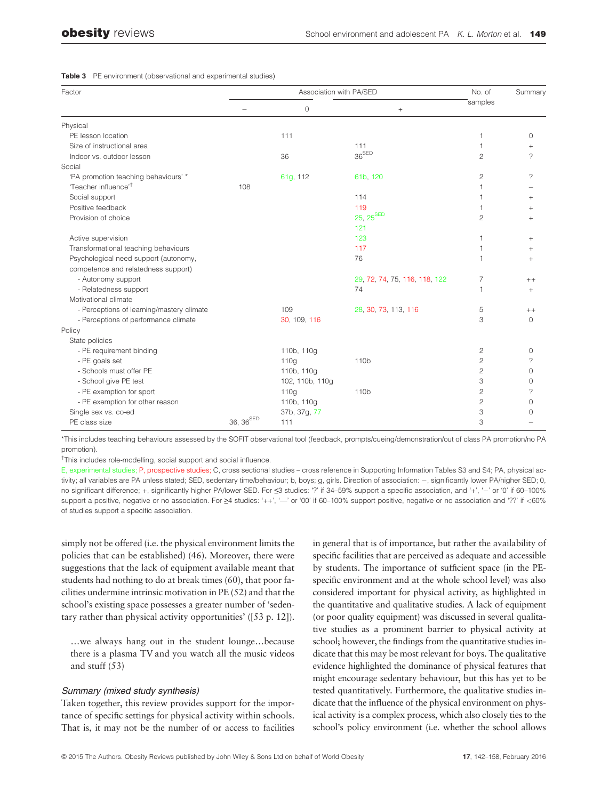#### Table 3 PE environment (observational and experimental studies)

| Factor                                    | Association with PA/SED |                 | No. of                           | Summary        |                          |
|-------------------------------------------|-------------------------|-----------------|----------------------------------|----------------|--------------------------|
|                                           |                         | $\circ$         | $\begin{array}{c} + \end{array}$ | samples        |                          |
| Physical                                  |                         |                 |                                  |                |                          |
| PE lesson location                        |                         | 111             |                                  | $\overline{1}$ | $\mathbf{0}$             |
| Size of instructional area                |                         |                 | 111                              | 1              | $^{+}$                   |
| Indoor vs. outdoor lesson                 |                         | 36              | $36$ SED                         | $\overline{c}$ | ?                        |
| Social                                    |                         |                 |                                  |                |                          |
| 'PA promotion teaching behaviours' *      |                         | 61g, 112        | 61b, 120                         | 2              | ?                        |
| 'Teacher influence' <sup>†</sup>          | 108                     |                 |                                  | 1              |                          |
| Social support                            |                         |                 | 114                              | 1              | $^{+}$                   |
| Positive feedback                         |                         |                 | 119                              |                |                          |
| Provision of choice                       |                         |                 | 25, $25^{SED}$                   | 2              |                          |
|                                           |                         |                 | 121                              |                |                          |
| Active supervision                        |                         |                 | 123                              | 1              | $\overline{+}$           |
| Transformational teaching behaviours      |                         |                 | 117                              | 1              | $\ddot{}$                |
| Psychological need support (autonomy,     |                         |                 | 76                               | 1              | $^{+}$                   |
| competence and relatedness support)       |                         |                 |                                  |                |                          |
| - Autonomy support                        |                         |                 | 29, 72, 74, 75, 116, 118, 122    | 7              | $++$                     |
| - Relatedness support                     |                         |                 | 74                               | 1              | $^{+}$                   |
| Motivational climate                      |                         |                 |                                  |                |                          |
| - Perceptions of learning/mastery climate |                         | 109             | 28, 30, 73, 113, 116             | 5              | $++$                     |
| - Perceptions of performance climate      |                         | 30, 109, 116    |                                  | 3              | $\circ$                  |
| Policy                                    |                         |                 |                                  |                |                          |
| State policies                            |                         |                 |                                  |                |                          |
| - PE requirement binding                  |                         | 110b, 110g      |                                  | 2              | $\circ$                  |
| - PE goals set                            |                         | 110g            | 110b                             | $\overline{c}$ | $\overline{\phantom{0}}$ |
| - Schools must offer PE                   |                         | 110b, 110g      |                                  | 2              | $\mathbf{0}$             |
| - School give PE test                     |                         | 102, 110b, 110g |                                  | 3              | 0                        |
| - PE exemption for sport                  |                         | 110g            | 110b                             | $\overline{c}$ | ?                        |
| - PE exemption for other reason           |                         | 110b, 110g      |                                  | $\overline{c}$ | $\Omega$                 |
| Single sex vs. co-ed                      |                         | 37b, 37g, 77    |                                  | 3              | 0                        |
| PE class size                             | $36,36^{\rm SED}$       | 111             |                                  | 3              |                          |
|                                           |                         |                 |                                  |                |                          |

\*This includes teaching behaviours assessed by the SOFIT observational tool (feedback, prompts/cueing/demonstration/out of class PA promotion/no PA promotion).

† This includes role-modelling, social support and social influence.

E, experimental studies; P, prospective studies; C, cross sectional studies – cross reference in Supporting Information Tables S3 and S4; PA, physical activity; all variables are PA unless stated; SED, sedentary time/behaviour; b, boys; g, girls. Direction of association:  $-$ , significantly lower PA/higher SED; 0, no significant difference; +, significantly higher PA/lower SED. For <sup>≤</sup>3 studies: '?' if 34–59% support a specific association, and '+', '' or '0' if 60–100% support a positive, negative or no association. For ≥4 studies: '++', '—' or '00' if 60-100% support positive, negative or no association and '??' if <60% of studies support a specific association.

simply not be offered (i.e. the physical environment limits the policies that can be established) (46). Moreover, there were suggestions that the lack of equipment available meant that students had nothing to do at break times (60), that poor facilities undermine intrinsic motivation in PE (52) and that the school's existing space possesses a greater number of 'sedentary rather than physical activity opportunities' ([53 p. 12]).

…we always hang out in the student lounge…because there is a plasma TV and you watch all the music videos and stuff (53)

### Summary (mixed study synthesis)

Taken together, this review provides support for the importance of specific settings for physical activity within schools. That is, it may not be the number of or access to facilities in general that is of importance, but rather the availability of specific facilities that are perceived as adequate and accessible by students. The importance of sufficient space (in the PEspecific environment and at the whole school level) was also considered important for physical activity, as highlighted in the quantitative and qualitative studies. A lack of equipment (or poor quality equipment) was discussed in several qualitative studies as a prominent barrier to physical activity at school; however, the findings from the quantitative studies indicate that this may be most relevant for boys. The qualitative evidence highlighted the dominance of physical features that might encourage sedentary behaviour, but this has yet to be tested quantitatively. Furthermore, the qualitative studies indicate that the influence of the physical environment on physical activity is a complex process, which also closely ties to the school's policy environment (i.e. whether the school allows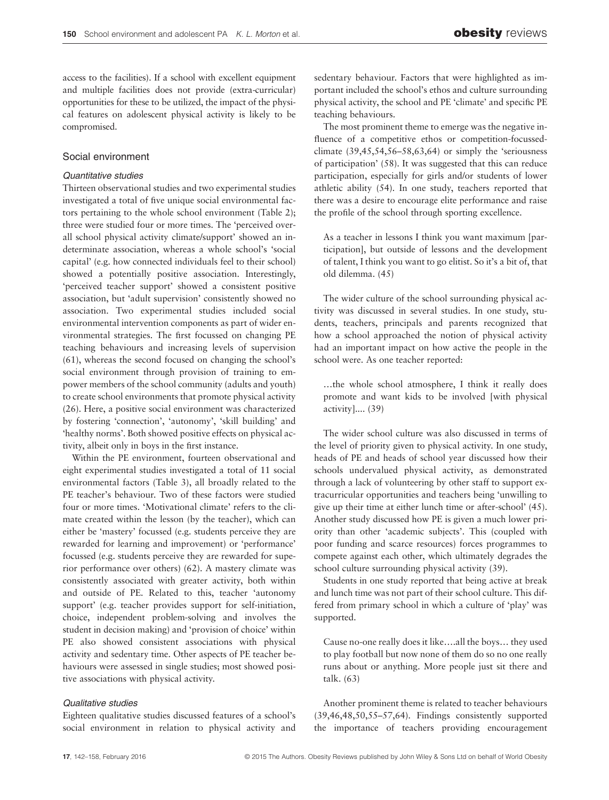access to the facilities). If a school with excellent equipment and multiple facilities does not provide (extra-curricular) opportunities for these to be utilized, the impact of the physical features on adolescent physical activity is likely to be compromised.

### Social environment

### Quantitative studies

Thirteen observational studies and two experimental studies investigated a total of five unique social environmental factors pertaining to the whole school environment (Table 2); three were studied four or more times. The 'perceived overall school physical activity climate/support' showed an indeterminate association, whereas a whole school's 'social capital' (e.g. how connected individuals feel to their school) showed a potentially positive association. Interestingly, 'perceived teacher support' showed a consistent positive association, but 'adult supervision' consistently showed no association. Two experimental studies included social environmental intervention components as part of wider environmental strategies. The first focussed on changing PE teaching behaviours and increasing levels of supervision (61), whereas the second focused on changing the school's social environment through provision of training to empower members of the school community (adults and youth) to create school environments that promote physical activity (26). Here, a positive social environment was characterized by fostering 'connection', 'autonomy', 'skill building' and 'healthy norms'. Both showed positive effects on physical activity, albeit only in boys in the first instance.

Within the PE environment, fourteen observational and eight experimental studies investigated a total of 11 social environmental factors (Table 3), all broadly related to the PE teacher's behaviour. Two of these factors were studied four or more times. 'Motivational climate' refers to the climate created within the lesson (by the teacher), which can either be 'mastery' focussed (e.g. students perceive they are rewarded for learning and improvement) or 'performance' focussed (e.g. students perceive they are rewarded for superior performance over others) (62). A mastery climate was consistently associated with greater activity, both within and outside of PE. Related to this, teacher 'autonomy support' (e.g. teacher provides support for self-initiation, choice, independent problem-solving and involves the student in decision making) and 'provision of choice' within PE also showed consistent associations with physical activity and sedentary time. Other aspects of PE teacher behaviours were assessed in single studies; most showed positive associations with physical activity.

#### Qualitative studies

Eighteen qualitative studies discussed features of a school's social environment in relation to physical activity and

sedentary behaviour. Factors that were highlighted as important included the school's ethos and culture surrounding physical activity, the school and PE 'climate' and specific PE teaching behaviours.

The most prominent theme to emerge was the negative influence of a competitive ethos or competition-focussedclimate  $(39,45,54,56-58,63,64)$  or simply the 'seriousness' of participation' (58). It was suggested that this can reduce participation, especially for girls and/or students of lower athletic ability (54). In one study, teachers reported that there was a desire to encourage elite performance and raise the profile of the school through sporting excellence.

As a teacher in lessons I think you want maximum [participation], but outside of lessons and the development of talent, I think you want to go elitist. So it's a bit of, that old dilemma. (45)

The wider culture of the school surrounding physical activity was discussed in several studies. In one study, students, teachers, principals and parents recognized that how a school approached the notion of physical activity had an important impact on how active the people in the school were. As one teacher reported:

…the whole school atmosphere, I think it really does promote and want kids to be involved [with physical activity].... (39)

The wider school culture was also discussed in terms of the level of priority given to physical activity. In one study, heads of PE and heads of school year discussed how their schools undervalued physical activity, as demonstrated through a lack of volunteering by other staff to support extracurricular opportunities and teachers being 'unwilling to give up their time at either lunch time or after-school' (45). Another study discussed how PE is given a much lower priority than other 'academic subjects'. This (coupled with poor funding and scarce resources) forces programmes to compete against each other, which ultimately degrades the school culture surrounding physical activity (39).

Students in one study reported that being active at break and lunch time was not part of their school culture. This differed from primary school in which a culture of 'play' was supported.

Cause no-one really does it like….all the boys… they used to play football but now none of them do so no one really runs about or anything. More people just sit there and talk. (63)

Another prominent theme is related to teacher behaviours (39,46,48,50,55–57,64). Findings consistently supported the importance of teachers providing encouragement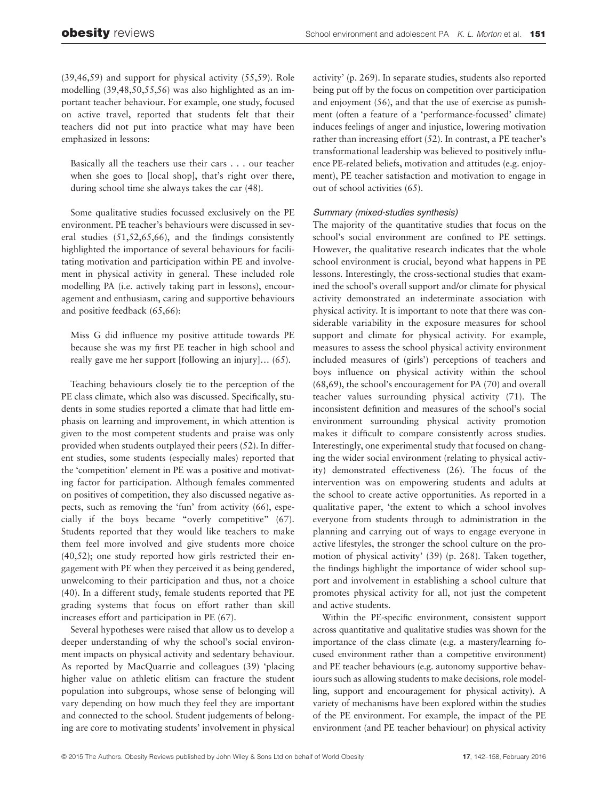(39,46,59) and support for physical activity (55,59). Role modelling (39,48,50,55,56) was also highlighted as an important teacher behaviour. For example, one study, focused on active travel, reported that students felt that their teachers did not put into practice what may have been emphasized in lessons:

Basically all the teachers use their cars . . . our teacher when she goes to [local shop], that's right over there, during school time she always takes the car (48).

Some qualitative studies focussed exclusively on the PE environment. PE teacher's behaviours were discussed in several studies (51,52,65,66), and the findings consistently highlighted the importance of several behaviours for facilitating motivation and participation within PE and involvement in physical activity in general. These included role modelling PA (i.e. actively taking part in lessons), encouragement and enthusiasm, caring and supportive behaviours and positive feedback (65,66):

Miss G did influence my positive attitude towards PE because she was my first PE teacher in high school and really gave me her support [following an injury]… (65).

Teaching behaviours closely tie to the perception of the PE class climate, which also was discussed. Specifically, students in some studies reported a climate that had little emphasis on learning and improvement, in which attention is given to the most competent students and praise was only provided when students outplayed their peers (52). In different studies, some students (especially males) reported that the 'competition' element in PE was a positive and motivating factor for participation. Although females commented on positives of competition, they also discussed negative aspects, such as removing the 'fun' from activity (66), especially if the boys became "overly competitive" (67). Students reported that they would like teachers to make them feel more involved and give students more choice (40,52); one study reported how girls restricted their engagement with PE when they perceived it as being gendered, unwelcoming to their participation and thus, not a choice (40). In a different study, female students reported that PE grading systems that focus on effort rather than skill increases effort and participation in PE (67).

Several hypotheses were raised that allow us to develop a deeper understanding of why the school's social environment impacts on physical activity and sedentary behaviour. As reported by MacQuarrie and colleagues (39) 'placing higher value on athletic elitism can fracture the student population into subgroups, whose sense of belonging will vary depending on how much they feel they are important and connected to the school. Student judgements of belonging are core to motivating students' involvement in physical activity' (p. 269). In separate studies, students also reported being put off by the focus on competition over participation and enjoyment (56), and that the use of exercise as punishment (often a feature of a 'performance-focussed' climate) induces feelings of anger and injustice, lowering motivation rather than increasing effort (52). In contrast, a PE teacher's transformational leadership was believed to positively influence PE-related beliefs, motivation and attitudes (e.g. enjoyment), PE teacher satisfaction and motivation to engage in out of school activities (65).

### Summary (mixed-studies synthesis)

The majority of the quantitative studies that focus on the school's social environment are confined to PE settings. However, the qualitative research indicates that the whole school environment is crucial, beyond what happens in PE lessons. Interestingly, the cross-sectional studies that examined the school's overall support and/or climate for physical activity demonstrated an indeterminate association with physical activity. It is important to note that there was considerable variability in the exposure measures for school support and climate for physical activity. For example, measures to assess the school physical activity environment included measures of (girls') perceptions of teachers and boys influence on physical activity within the school (68,69), the school's encouragement for PA (70) and overall teacher values surrounding physical activity (71). The inconsistent definition and measures of the school's social environment surrounding physical activity promotion makes it difficult to compare consistently across studies. Interestingly, one experimental study that focused on changing the wider social environment (relating to physical activity) demonstrated effectiveness (26). The focus of the intervention was on empowering students and adults at the school to create active opportunities. As reported in a qualitative paper, 'the extent to which a school involves everyone from students through to administration in the planning and carrying out of ways to engage everyone in active lifestyles, the stronger the school culture on the promotion of physical activity' (39) (p. 268). Taken together, the findings highlight the importance of wider school support and involvement in establishing a school culture that promotes physical activity for all, not just the competent and active students.

Within the PE-specific environment, consistent support across quantitative and qualitative studies was shown for the importance of the class climate (e.g. a mastery/learning focused environment rather than a competitive environment) and PE teacher behaviours (e.g. autonomy supportive behaviours such as allowing students to make decisions, role modelling, support and encouragement for physical activity). A variety of mechanisms have been explored within the studies of the PE environment. For example, the impact of the PE environment (and PE teacher behaviour) on physical activity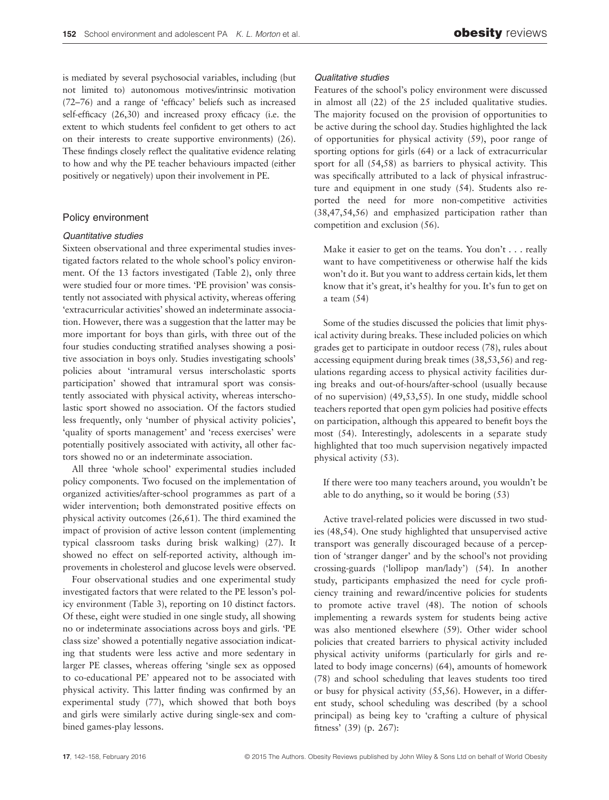is mediated by several psychosocial variables, including (but not limited to) autonomous motives/intrinsic motivation (72–76) and a range of 'efficacy' beliefs such as increased self-efficacy (26,30) and increased proxy efficacy (i.e. the extent to which students feel confident to get others to act on their interests to create supportive environments) (26). These findings closely reflect the qualitative evidence relating to how and why the PE teacher behaviours impacted (either positively or negatively) upon their involvement in PE.

### Policy environment

### Quantitative studies

Sixteen observational and three experimental studies investigated factors related to the whole school's policy environment. Of the 13 factors investigated (Table 2), only three were studied four or more times. 'PE provision' was consistently not associated with physical activity, whereas offering 'extracurricular activities' showed an indeterminate association. However, there was a suggestion that the latter may be more important for boys than girls, with three out of the four studies conducting stratified analyses showing a positive association in boys only. Studies investigating schools' policies about 'intramural versus interscholastic sports participation' showed that intramural sport was consistently associated with physical activity, whereas interscholastic sport showed no association. Of the factors studied less frequently, only 'number of physical activity policies', 'quality of sports management' and 'recess exercises' were potentially positively associated with activity, all other factors showed no or an indeterminate association.

All three 'whole school' experimental studies included policy components. Two focused on the implementation of organized activities/after-school programmes as part of a wider intervention; both demonstrated positive effects on physical activity outcomes (26,61). The third examined the impact of provision of active lesson content (implementing typical classroom tasks during brisk walking) (27). It showed no effect on self-reported activity, although improvements in cholesterol and glucose levels were observed.

Four observational studies and one experimental study investigated factors that were related to the PE lesson's policy environment (Table 3), reporting on 10 distinct factors. Of these, eight were studied in one single study, all showing no or indeterminate associations across boys and girls. 'PE class size' showed a potentially negative association indicating that students were less active and more sedentary in larger PE classes, whereas offering 'single sex as opposed to co-educational PE' appeared not to be associated with physical activity. This latter finding was confirmed by an experimental study (77), which showed that both boys and girls were similarly active during single-sex and combined games-play lessons.

# Qualitative studies

Features of the school's policy environment were discussed in almost all (22) of the 25 included qualitative studies. The majority focused on the provision of opportunities to be active during the school day. Studies highlighted the lack of opportunities for physical activity (59), poor range of sporting options for girls (64) or a lack of extracurricular sport for all (54,58) as barriers to physical activity. This was specifically attributed to a lack of physical infrastructure and equipment in one study (54). Students also reported the need for more non-competitive activities (38,47,54,56) and emphasized participation rather than competition and exclusion (56).

Make it easier to get on the teams. You don't . . . really want to have competitiveness or otherwise half the kids won't do it. But you want to address certain kids, let them know that it's great, it's healthy for you. It's fun to get on a team (54)

Some of the studies discussed the policies that limit physical activity during breaks. These included policies on which grades get to participate in outdoor recess (78), rules about accessing equipment during break times (38,53,56) and regulations regarding access to physical activity facilities during breaks and out-of-hours/after-school (usually because of no supervision) (49,53,55). In one study, middle school teachers reported that open gym policies had positive effects on participation, although this appeared to benefit boys the most (54). Interestingly, adolescents in a separate study highlighted that too much supervision negatively impacted physical activity (53).

If there were too many teachers around, you wouldn't be able to do anything, so it would be boring (53)

Active travel-related policies were discussed in two studies (48,54). One study highlighted that unsupervised active transport was generally discouraged because of a perception of 'stranger danger' and by the school's not providing crossing-guards ('lollipop man/lady') (54). In another study, participants emphasized the need for cycle proficiency training and reward/incentive policies for students to promote active travel (48). The notion of schools implementing a rewards system for students being active was also mentioned elsewhere (59). Other wider school policies that created barriers to physical activity included physical activity uniforms (particularly for girls and related to body image concerns) (64), amounts of homework (78) and school scheduling that leaves students too tired or busy for physical activity (55,56). However, in a different study, school scheduling was described (by a school principal) as being key to 'crafting a culture of physical fitness' (39) (p. 267):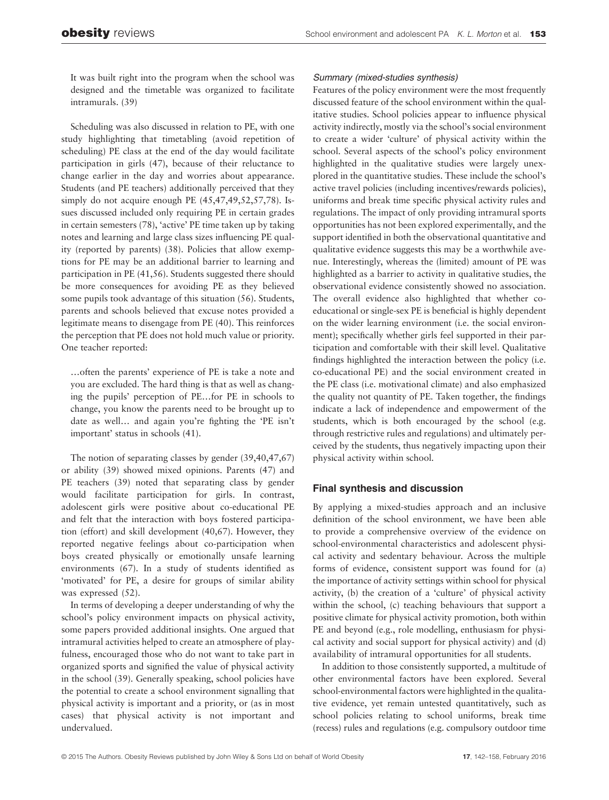It was built right into the program when the school was designed and the timetable was organized to facilitate intramurals. (39)

Scheduling was also discussed in relation to PE, with one study highlighting that timetabling (avoid repetition of scheduling) PE class at the end of the day would facilitate participation in girls (47), because of their reluctance to change earlier in the day and worries about appearance. Students (and PE teachers) additionally perceived that they simply do not acquire enough PE (45,47,49,52,57,78). Issues discussed included only requiring PE in certain grades in certain semesters (78), 'active' PE time taken up by taking notes and learning and large class sizes influencing PE quality (reported by parents) (38). Policies that allow exemptions for PE may be an additional barrier to learning and participation in PE (41,56). Students suggested there should be more consequences for avoiding PE as they believed some pupils took advantage of this situation (56). Students, parents and schools believed that excuse notes provided a legitimate means to disengage from PE (40). This reinforces the perception that PE does not hold much value or priority. One teacher reported:

…often the parents' experience of PE is take a note and you are excluded. The hard thing is that as well as changing the pupils' perception of PE…for PE in schools to change, you know the parents need to be brought up to date as well… and again you're fighting the 'PE isn't important' status in schools (41).

The notion of separating classes by gender (39,40,47,67) or ability (39) showed mixed opinions. Parents (47) and PE teachers (39) noted that separating class by gender would facilitate participation for girls. In contrast, adolescent girls were positive about co-educational PE and felt that the interaction with boys fostered participation (effort) and skill development (40,67). However, they reported negative feelings about co-participation when boys created physically or emotionally unsafe learning environments (67). In a study of students identified as 'motivated' for PE, a desire for groups of similar ability was expressed (52).

In terms of developing a deeper understanding of why the school's policy environment impacts on physical activity, some papers provided additional insights. One argued that intramural activities helped to create an atmosphere of playfulness, encouraged those who do not want to take part in organized sports and signified the value of physical activity in the school (39). Generally speaking, school policies have the potential to create a school environment signalling that physical activity is important and a priority, or (as in most cases) that physical activity is not important and undervalued.

### Summary (mixed-studies synthesis)

Features of the policy environment were the most frequently discussed feature of the school environment within the qualitative studies. School policies appear to influence physical activity indirectly, mostly via the school's social environment to create a wider 'culture' of physical activity within the school. Several aspects of the school's policy environment highlighted in the qualitative studies were largely unexplored in the quantitative studies. These include the school's active travel policies (including incentives/rewards policies), uniforms and break time specific physical activity rules and regulations. The impact of only providing intramural sports opportunities has not been explored experimentally, and the support identified in both the observational quantitative and qualitative evidence suggests this may be a worthwhile avenue. Interestingly, whereas the (limited) amount of PE was highlighted as a barrier to activity in qualitative studies, the observational evidence consistently showed no association. The overall evidence also highlighted that whether coeducational or single-sex PE is beneficial is highly dependent on the wider learning environment (i.e. the social environment); specifically whether girls feel supported in their participation and comfortable with their skill level. Qualitative findings highlighted the interaction between the policy (i.e. co-educational PE) and the social environment created in the PE class (i.e. motivational climate) and also emphasized the quality not quantity of PE. Taken together, the findings indicate a lack of independence and empowerment of the students, which is both encouraged by the school (e.g. through restrictive rules and regulations) and ultimately perceived by the students, thus negatively impacting upon their physical activity within school.

# Final synthesis and discussion

By applying a mixed-studies approach and an inclusive definition of the school environment, we have been able to provide a comprehensive overview of the evidence on school-environmental characteristics and adolescent physical activity and sedentary behaviour. Across the multiple forms of evidence, consistent support was found for (a) the importance of activity settings within school for physical activity, (b) the creation of a 'culture' of physical activity within the school, (c) teaching behaviours that support a positive climate for physical activity promotion, both within PE and beyond (e.g., role modelling, enthusiasm for physical activity and social support for physical activity) and (d) availability of intramural opportunities for all students.

In addition to those consistently supported, a multitude of other environmental factors have been explored. Several school-environmental factors were highlighted in the qualitative evidence, yet remain untested quantitatively, such as school policies relating to school uniforms, break time (recess) rules and regulations (e.g. compulsory outdoor time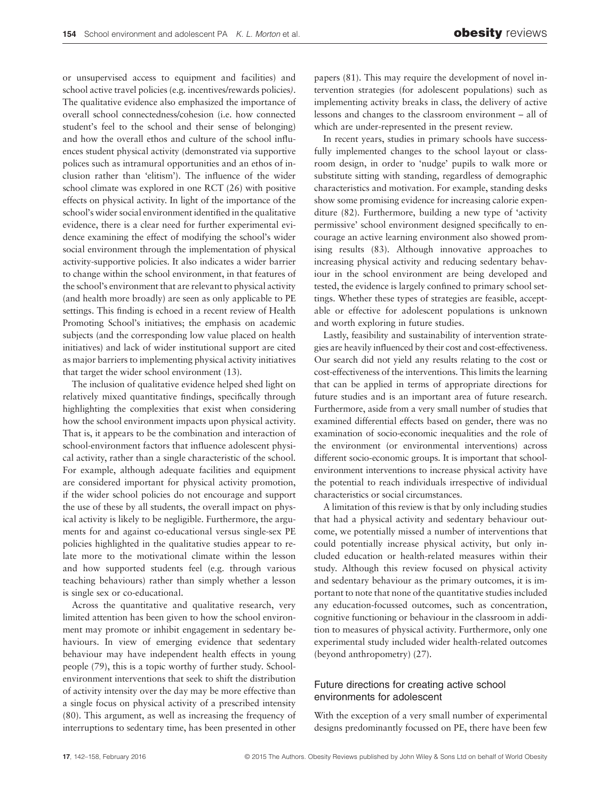or unsupervised access to equipment and facilities) and school active travel policies (e.g. incentives/rewards policies). The qualitative evidence also emphasized the importance of overall school connectedness/cohesion (i.e. how connected student's feel to the school and their sense of belonging) and how the overall ethos and culture of the school influences student physical activity (demonstrated via supportive polices such as intramural opportunities and an ethos of inclusion rather than 'elitism'). The influence of the wider school climate was explored in one RCT (26) with positive effects on physical activity. In light of the importance of the school's wider social environment identified in the qualitative evidence, there is a clear need for further experimental evidence examining the effect of modifying the school's wider social environment through the implementation of physical activity-supportive policies. It also indicates a wider barrier to change within the school environment, in that features of the school's environment that are relevant to physical activity (and health more broadly) are seen as only applicable to PE settings. This finding is echoed in a recent review of Health Promoting School's initiatives; the emphasis on academic subjects (and the corresponding low value placed on health initiatives) and lack of wider institutional support are cited as major barriers to implementing physical activity initiatives that target the wider school environment (13).

The inclusion of qualitative evidence helped shed light on relatively mixed quantitative findings, specifically through highlighting the complexities that exist when considering how the school environment impacts upon physical activity. That is, it appears to be the combination and interaction of school-environment factors that influence adolescent physical activity, rather than a single characteristic of the school. For example, although adequate facilities and equipment are considered important for physical activity promotion, if the wider school policies do not encourage and support the use of these by all students, the overall impact on physical activity is likely to be negligible. Furthermore, the arguments for and against co-educational versus single-sex PE policies highlighted in the qualitative studies appear to relate more to the motivational climate within the lesson and how supported students feel (e.g. through various teaching behaviours) rather than simply whether a lesson is single sex or co-educational.

Across the quantitative and qualitative research, very limited attention has been given to how the school environment may promote or inhibit engagement in sedentary behaviours. In view of emerging evidence that sedentary behaviour may have independent health effects in young people (79), this is a topic worthy of further study. Schoolenvironment interventions that seek to shift the distribution of activity intensity over the day may be more effective than a single focus on physical activity of a prescribed intensity (80). This argument, as well as increasing the frequency of interruptions to sedentary time, has been presented in other

papers (81). This may require the development of novel intervention strategies (for adolescent populations) such as implementing activity breaks in class, the delivery of active lessons and changes to the classroom environment – all of which are under-represented in the present review.

In recent years, studies in primary schools have successfully implemented changes to the school layout or classroom design, in order to 'nudge' pupils to walk more or substitute sitting with standing, regardless of demographic characteristics and motivation. For example, standing desks show some promising evidence for increasing calorie expenditure (82). Furthermore, building a new type of 'activity permissive' school environment designed specifically to encourage an active learning environment also showed promising results (83). Although innovative approaches to increasing physical activity and reducing sedentary behaviour in the school environment are being developed and tested, the evidence is largely confined to primary school settings. Whether these types of strategies are feasible, acceptable or effective for adolescent populations is unknown and worth exploring in future studies.

Lastly, feasibility and sustainability of intervention strategies are heavily influenced by their cost and cost-effectiveness. Our search did not yield any results relating to the cost or cost-effectiveness of the interventions. This limits the learning that can be applied in terms of appropriate directions for future studies and is an important area of future research. Furthermore, aside from a very small number of studies that examined differential effects based on gender, there was no examination of socio-economic inequalities and the role of the environment (or environmental interventions) across different socio-economic groups. It is important that schoolenvironment interventions to increase physical activity have the potential to reach individuals irrespective of individual characteristics or social circumstances.

A limitation of this review is that by only including studies that had a physical activity and sedentary behaviour outcome, we potentially missed a number of interventions that could potentially increase physical activity, but only included education or health-related measures within their study. Although this review focused on physical activity and sedentary behaviour as the primary outcomes, it is important to note that none of the quantitative studies included any education-focussed outcomes, such as concentration, cognitive functioning or behaviour in the classroom in addition to measures of physical activity. Furthermore, only one experimental study included wider health-related outcomes (beyond anthropometry) (27).

# Future directions for creating active school environments for adolescent

With the exception of a very small number of experimental designs predominantly focussed on PE, there have been few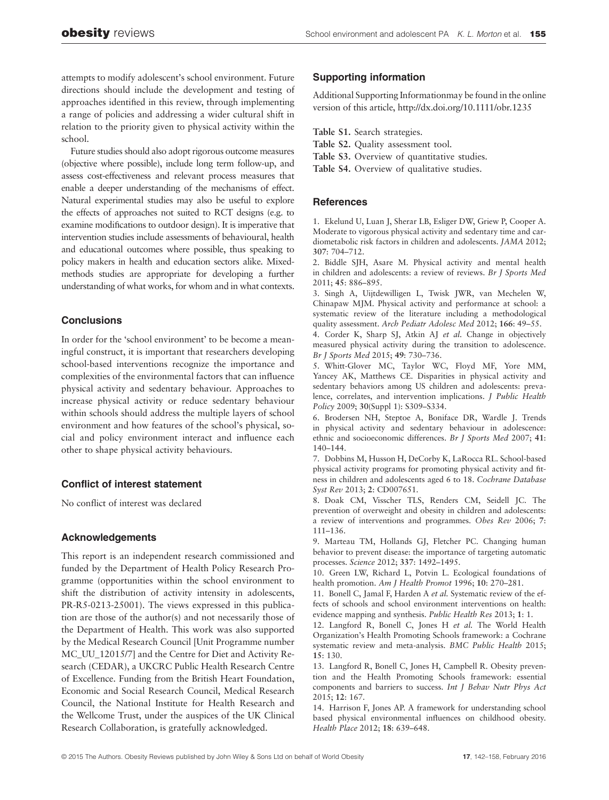attempts to modify adolescent's school environment. Future directions should include the development and testing of approaches identified in this review, through implementing a range of policies and addressing a wider cultural shift in relation to the priority given to physical activity within the school.

Future studies should also adopt rigorous outcome measures (objective where possible), include long term follow-up, and assess cost-effectiveness and relevant process measures that enable a deeper understanding of the mechanisms of effect. Natural experimental studies may also be useful to explore the effects of approaches not suited to RCT designs (e.g. to examine modifications to outdoor design). It is imperative that intervention studies include assessments of behavioural, health and educational outcomes where possible, thus speaking to policy makers in health and education sectors alike. Mixedmethods studies are appropriate for developing a further understanding of what works, for whom and in what contexts.

# Conclusions

In order for the 'school environment' to be become a meaningful construct, it is important that researchers developing school-based interventions recognize the importance and complexities of the environmental factors that can influence physical activity and sedentary behaviour. Approaches to increase physical activity or reduce sedentary behaviour within schools should address the multiple layers of school environment and how features of the school's physical, social and policy environment interact and influence each other to shape physical activity behaviours.

# Conflict of interest statement

No conflict of interest was declared

### Acknowledgements

This report is an independent research commissioned and funded by the Department of Health Policy Research Programme (opportunities within the school environment to shift the distribution of activity intensity in adolescents, PR-R5-0213-25001). The views expressed in this publication are those of the author(s) and not necessarily those of the Department of Health. This work was also supported by the Medical Research Council [Unit Programme number MC\_UU\_12015/7] and the Centre for Diet and Activity Research (CEDAR), a UKCRC Public Health Research Centre of Excellence. Funding from the British Heart Foundation, Economic and Social Research Council, Medical Research Council, the National Institute for Health Research and the Wellcome Trust, under the auspices of the UK Clinical Research Collaboration, is gratefully acknowledged.

# Supporting information

Additional Supporting Informationmay be found in the online version of this article, http://dx.doi.org/10.1111/obr.1235

Table S1. Search strategies.

Table S2. Quality assessment tool.

Table S3. Overview of quantitative studies.

Table S4. Overview of qualitative studies.

### References

1. Ekelund U, Luan J, Sherar LB, Esliger DW, Griew P, Cooper A. Moderate to vigorous physical activity and sedentary time and cardiometabolic risk factors in children and adolescents. JAMA 2012; 307: 704–712.

2. Biddle SJH, Asare M. Physical activity and mental health in children and adolescents: a review of reviews. Br J Sports Med 2011; 45: 886–895.

3. Singh A, Uijtdewilligen L, Twisk JWR, van Mechelen W, Chinapaw MJM. Physical activity and performance at school: a systematic review of the literature including a methodological quality assessment. Arch Pediatr Adolesc Med 2012; 166: 49–55.

4. Corder K, Sharp SJ, Atkin AJ et al. Change in objectively measured physical activity during the transition to adolescence. Br J Sports Med 2015; 49: 730–736.

5. Whitt-Glover MC, Taylor WC, Floyd MF, Yore MM, Yancey AK, Matthews CE. Disparities in physical activity and sedentary behaviors among US children and adolescents: prevalence, correlates, and intervention implications. J Public Health Policy 2009; 30(Suppl 1): S309-S334.

6. Brodersen NH, Steptoe A, Boniface DR, Wardle J. Trends in physical activity and sedentary behaviour in adolescence: ethnic and socioeconomic differences. Br J Sports Med 2007; 41: 140–144.

7. Dobbins M, Husson H, DeCorby K, LaRocca RL. School-based physical activity programs for promoting physical activity and fitness in children and adolescents aged 6 to 18. Cochrane Database Syst Rev 2013; 2: CD007651.

8. Doak CM, Visscher TLS, Renders CM, Seidell JC. The prevention of overweight and obesity in children and adolescents: a review of interventions and programmes. Obes Rev 2006; 7: 111–136.

9. Marteau TM, Hollands GJ, Fletcher PC. Changing human behavior to prevent disease: the importance of targeting automatic processes. Science 2012; 337: 1492–1495.

10. Green LW, Richard L, Potvin L. Ecological foundations of health promotion. Am J Health Promot 1996; 10: 270-281.

11. Bonell C, Jamal F, Harden A et al. Systematic review of the effects of schools and school environment interventions on health: evidence mapping and synthesis. Public Health Res 2013; 1: 1.

12. Langford R, Bonell C, Jones H et al. The World Health Organization's Health Promoting Schools framework: a Cochrane systematic review and meta-analysis. BMC Public Health 2015; 15: 130.

13. Langford R, Bonell C, Jones H, Campbell R. Obesity prevention and the Health Promoting Schools framework: essential components and barriers to success. Int J Behav Nutr Phys Act 2015; 12: 167.

14. Harrison F, Jones AP. A framework for understanding school based physical environmental influences on childhood obesity. Health Place 2012; 18: 639–648.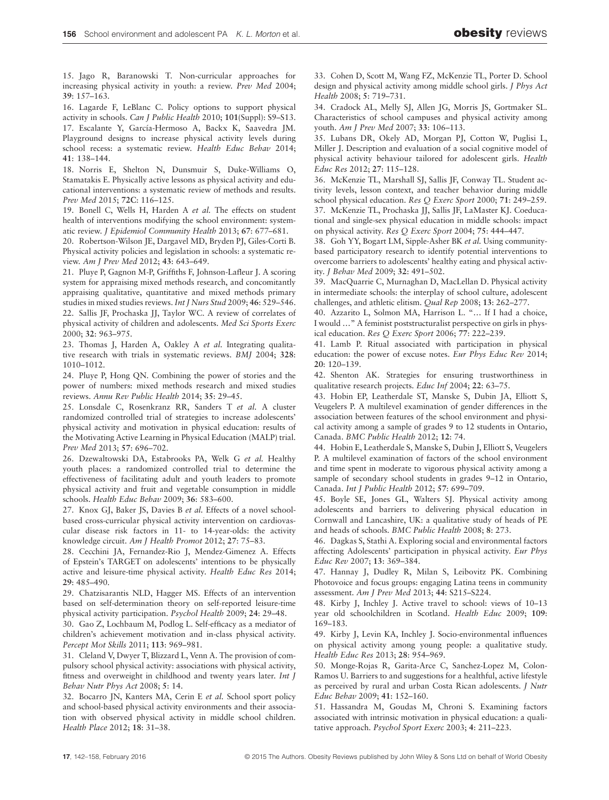15. Jago R, Baranowski T. Non-curricular approaches for increasing physical activity in youth: a review. Prev Med 2004; 39: 157–163.

16. Lagarde F, LeBlanc C. Policy options to support physical activity in schools. Can J Public Health 2010; 101(Suppl): S9–S13. 17. Escalante Y, García-Hermoso A, Backx K, Saavedra JM. Playground designs to increase physical activity levels during school recess: a systematic review. Health Educ Behav 2014; 41: 138–144.

18. Norris E, Shelton N, Dunsmuir S, Duke-Williams O, Stamatakis E. Physically active lessons as physical activity and educational interventions: a systematic review of methods and results. Prev Med 2015; 72C: 116–125.

19. Bonell C, Wells H, Harden A et al. The effects on student health of interventions modifying the school environment: systematic review. J Epidemiol Community Health 2013; 67: 677–681.

20. Robertson-Wilson JE, Dargavel MD, Bryden PJ, Giles-Corti B. Physical activity policies and legislation in schools: a systematic review. Am J Prev Med 2012; 43: 643-649.

21. Pluye P, Gagnon M-P, Griffiths F, Johnson-Lafleur J. A scoring system for appraising mixed methods research, and concomitantly appraising qualitative, quantitative and mixed methods primary studies in mixed studies reviews.Int J Nurs Stud 2009; 46: 529–546.

22. Sallis JF, Prochaska JJ, Taylor WC. A review of correlates of physical activity of children and adolescents. Med Sci Sports Exerc 2000; 32: 963–975.

23. Thomas J, Harden A, Oakley A et al. Integrating qualitative research with trials in systematic reviews. BMJ 2004; 328: 1010–1012.

24. Pluye P, Hong QN. Combining the power of stories and the power of numbers: mixed methods research and mixed studies reviews. Annu Rev Public Health 2014; 35: 29–45.

25. Lonsdale C, Rosenkranz RR, Sanders T et al. A cluster randomized controlled trial of strategies to increase adolescents' physical activity and motivation in physical education: results of the Motivating Active Learning in Physical Education (MALP) trial. Prev Med 2013; 57: 696–702.

26. Dzewaltowski DA, Estabrooks PA, Welk G et al. Healthy youth places: a randomized controlled trial to determine the effectiveness of facilitating adult and youth leaders to promote physical activity and fruit and vegetable consumption in middle schools. Health Educ Behav 2009; 36: 583–600.

27. Knox GJ, Baker JS, Davies B et al. Effects of a novel schoolbased cross-curricular physical activity intervention on cardiovascular disease risk factors in 11- to 14-year-olds: the activity knowledge circuit. Am J Health Promot 2012; 27: 75-83.

28. Cecchini JA, Fernandez-Rio J, Mendez-Gimenez A. Effects of Epstein's TARGET on adolescents' intentions to be physically active and leisure-time physical activity. Health Educ Res 2014; 29: 485–490.

29. Chatzisarantis NLD, Hagger MS. Effects of an intervention based on self-determination theory on self-reported leisure-time physical activity participation. Psychol Health 2009; 24: 29–48.

30. Gao Z, Lochbaum M, Podlog L. Self-efficacy as a mediator of children's achievement motivation and in-class physical activity. Percept Mot Skills 2011; 113: 969–981.

31. Cleland V, Dwyer T, Blizzard L, Venn A. The provision of compulsory school physical activity: associations with physical activity, fitness and overweight in childhood and twenty years later. Int J Behav Nutr Phys Act 2008; 5: 14.

32. Bocarro JN, Kanters MA, Cerin E et al. School sport policy and school-based physical activity environments and their association with observed physical activity in middle school children. Health Place 2012; 18: 31–38.

33. Cohen D, Scott M, Wang FZ, McKenzie TL, Porter D. School design and physical activity among middle school girls. J Phys Act Health 2008; 5: 719–731.

34. Cradock AL, Melly SJ, Allen JG, Morris JS, Gortmaker SL. Characteristics of school campuses and physical activity among youth. Am J Prev Med 2007; 33: 106–113.

35. Lubans DR, Okely AD, Morgan PJ, Cotton W, Puglisi L, Miller J. Description and evaluation of a social cognitive model of physical activity behaviour tailored for adolescent girls. Health Educ Res 2012; 27: 115–128.

36. McKenzie TL, Marshall SJ, Sallis JF, Conway TL. Student activity levels, lesson context, and teacher behavior during middle school physical education. Res O Exerc Sport 2000; 71: 249-259. 37. McKenzie TL, Prochaska JJ, Sallis JF, LaMaster KJ. Coeducational and single-sex physical education in middle schools: impact on physical activity. Res Q Exerc Sport 2004; 75: 444–447.

38. Goh YY, Bogart LM, Sipple-Asher BK et al. Using communitybased participatory research to identify potential interventions to overcome barriers to adolescents' healthy eating and physical activity. J Behav Med 2009; 32: 491–502.

39. MacQuarrie C, Murnaghan D, MacLellan D. Physical activity in intermediate schools: the interplay of school culture, adolescent challenges, and athletic elitism. Qual Rep 2008; 13: 262–277.

40. Azzarito L, Solmon MA, Harrison L. "… If I had a choice, I would …" A feminist poststructuralist perspective on girls in physical education. Res Q Exerc Sport 2006; 77: 222–239.

41. Lamb P. Ritual associated with participation in physical education: the power of excuse notes. Eur Phys Educ Rev 2014; 20: 120–139.

42. Shenton AK. Strategies for ensuring trustworthiness in qualitative research projects. Educ Inf 2004; 22: 63–75.

43. Hobin EP, Leatherdale ST, Manske S, Dubin JA, Elliott S, Veugelers P. A multilevel examination of gender differences in the association between features of the school environment and physical activity among a sample of grades 9 to 12 students in Ontario, Canada. BMC Public Health 2012; 12: 74.

44. Hobin E, Leatherdale S, Manske S, Dubin J, Elliott S, Veugelers P. A multilevel examination of factors of the school environment and time spent in moderate to vigorous physical activity among a sample of secondary school students in grades 9–12 in Ontario, Canada. Int J Public Health 2012; 57: 699–709.

45. Boyle SE, Jones GL, Walters SJ. Physical activity among adolescents and barriers to delivering physical education in Cornwall and Lancashire, UK: a qualitative study of heads of PE and heads of schools. BMC Public Health 2008; 8: 273.

46. Dagkas S, Stathi A. Exploring social and environmental factors affecting Adolescents' participation in physical activity. Eur Phys Educ Rev 2007; 13: 369–384.

47. Hannay J, Dudley R, Milan S, Leibovitz PK. Combining Photovoice and focus groups: engaging Latina teens in community assessment. Am J Prev Med 2013; 44: S215–S224.

48. Kirby J, Inchley J. Active travel to school: views of 10–13 year old schoolchildren in Scotland. Health Educ 2009; 109: 169–183.

49. Kirby J, Levin KA, Inchley J. Socio-environmental influences on physical activity among young people: a qualitative study. Health Educ Res 2013; 28: 954–969.

50. Monge-Rojas R, Garita-Arce C, Sanchez-Lopez M, Colon-Ramos U. Barriers to and suggestions for a healthful, active lifestyle as perceived by rural and urban Costa Rican adolescents. J Nutr Educ Behav 2009; 41: 152–160.

51. Hassandra M, Goudas M, Chroni S. Examining factors associated with intrinsic motivation in physical education: a qualitative approach. Psychol Sport Exerc 2003; 4: 211–223.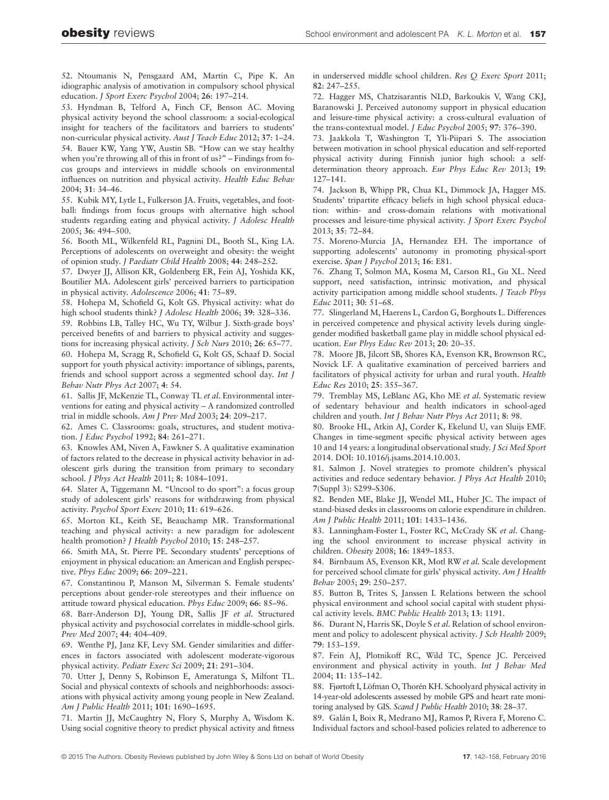52. Ntoumanis N, Pensgaard AM, Martin C, Pipe K. An idiographic analysis of amotivation in compulsory school physical education. J Sport Exerc Psychol 2004; 26: 197–214.

53. Hyndman B, Telford A, Finch CF, Benson AC. Moving physical activity beyond the school classroom: a social-ecological insight for teachers of the facilitators and barriers to students' non-curricular physical activity. Aust J Teach Educ 2012; 37: 1–24.

54. Bauer KW, Yang YW, Austin SB. "How can we stay healthy when you're throwing all of this in front of us?" – Findings from focus groups and interviews in middle schools on environmental influences on nutrition and physical activity. Health Educ Behav 2004; 31: 34–46.

55. Kubik MY, Lytle L, Fulkerson JA. Fruits, vegetables, and football: findings from focus groups with alternative high school students regarding eating and physical activity. J Adolesc Health 2005; 36: 494–500.

56. Booth ML, Wilkenfeld RL, Pagnini DL, Booth SL, King LA. Perceptions of adolescents on overweight and obesity: the weight of opinion study. J Paediatr Child Health 2008; 44: 248–252.

57. Dwyer JJ, Allison KR, Goldenberg ER, Fein AJ, Yoshida KK, Boutilier MA. Adolescent girls' perceived barriers to participation in physical activity. Adolescence 2006; 41: 75–89.

58. Hohepa M, Schofield G, Kolt GS. Physical activity: what do high school students think? J Adolesc Health 2006; 39: 328–336.

59. Robbins LB, Talley HC, Wu TY, Wilbur J. Sixth-grade boys' perceived benefits of and barriers to physical activity and suggestions for increasing physical activity. J Sch Nurs 2010; 26: 65–77.

60. Hohepa M, Scragg R, Schofield G, Kolt GS, Schaaf D. Social support for youth physical activity: importance of siblings, parents, friends and school support across a segmented school day. Int J Behav Nutr Phys Act 2007; 4: 54.

61. Sallis JF, McKenzie TL, Conway TL et al. Environmental interventions for eating and physical activity – A randomized controlled trial in middle schools. Am J Prev Med 2003; 24: 209–217.

62. Ames C. Classrooms: goals, structures, and student motivation. J Educ Psychol 1992; 84: 261–271.

63. Knowles AM, Niven A, Fawkner S. A qualitative examination of factors related to the decrease in physical activity behavior in adolescent girls during the transition from primary to secondary school. J Phys Act Health 2011; 8: 1084–1091.

64. Slater A, Tiggemann M. "Uncool to do sport": a focus group study of adolescent girls' reasons for withdrawing from physical activity. Psychol Sport Exerc 2010; 11: 619–626.

65. Morton KL, Keith SE, Beauchamp MR. Transformational teaching and physical activity: a new paradigm for adolescent health promotion? *J Health Psychol* 2010; 15: 248–257.

66. Smith MA, St. Pierre PE. Secondary students' perceptions of enjoyment in physical education: an American and English perspective. Phys Educ 2009; 66: 209–221.

67. Constantinou P, Manson M, Silverman S. Female students' perceptions about gender-role stereotypes and their influence on attitude toward physical education. Phys Educ 2009; 66: 85–96.

68. Barr-Anderson DJ, Young DR, Sallis JF et al. Structured physical activity and psychosocial correlates in middle-school girls. Prev Med 2007; 44: 404–409.

69. Wenthe PJ, Janz KF, Levy SM. Gender similarities and differences in factors associated with adolescent moderate-vigorous physical activity. Pediatr Exerc Sci 2009; 21: 291–304.

70. Utter J, Denny S, Robinson E, Ameratunga S, Milfont TL. Social and physical contexts of schools and neighborhoods: associations with physical activity among young people in New Zealand. Am J Public Health 2011; 101: 1690–1695.

71. Martin JJ, McCaughtry N, Flory S, Murphy A, Wisdom K. Using social cognitive theory to predict physical activity and fitness in underserved middle school children. Res Q Exerc Sport 2011; 82: 247–255.

72. Hagger MS, Chatzisarantis NLD, Barkoukis V, Wang CKJ, Baranowski J. Perceived autonomy support in physical education and leisure-time physical activity: a cross-cultural evaluation of the trans-contextual model. J Educ Psychol 2005; 97: 376–390.

73. Jaakkola T, Washington T, Yli-Piipari S. The association between motivation in school physical education and self-reported physical activity during Finnish junior high school: a selfdetermination theory approach. Eur Phys Educ Rev 2013; 19: 127–141.

74. Jackson B, Whipp PR, Chua KL, Dimmock JA, Hagger MS. Students' tripartite efficacy beliefs in high school physical education: within- and cross-domain relations with motivational processes and leisure-time physical activity. J Sport Exerc Psychol 2013; 35: 72–84.

75. Moreno-Murcia JA, Hernandez EH. The importance of supporting adolescents' autonomy in promoting physical-sport exercise. Span J Psychol 2013; 16: E81.

76. Zhang T, Solmon MA, Kosma M, Carson RL, Gu XL. Need support, need satisfaction, intrinsic motivation, and physical activity participation among middle school students. J Teach Phys Educ 2011; 30: 51–68.

77. Slingerland M, Haerens L, Cardon G, Borghouts L. Differences in perceived competence and physical activity levels during singlegender modified basketball game play in middle school physical education. Eur Phys Educ Rev 2013; 20: 20–35.

78. Moore JB, Jilcott SB, Shores KA, Evenson KR, Brownson RC, Novick LF. A qualitative examination of perceived barriers and facilitators of physical activity for urban and rural youth. Health Educ Res 2010; 25: 355–367.

79. Tremblay MS, LeBlanc AG, Kho ME et al. Systematic review of sedentary behaviour and health indicators in school-aged children and youth. Int J Behav Nutr Phys Act 2011; 8: 98.

80. Brooke HL, Atkin AJ, Corder K, Ekelund U, van Sluijs EMF. Changes in time-segment specific physical activity between ages 10 and 14 years: a longitudinal observational study. J Sci Med Sport 2014. DOI: 10.1016/j.jsams.2014.10.003.

81. Salmon J. Novel strategies to promote children's physical activities and reduce sedentary behavior. J Phys Act Health 2010; 7(Suppl 3): S299–S306.

82. Benden ME, Blake JJ, Wendel ML, Huber JC. The impact of stand-biased desks in classrooms on calorie expenditure in children. Am J Public Health 2011; 101: 1433–1436.

83. Lanningham-Foster L, Foster RC, McCrady SK et al. Changing the school environment to increase physical activity in children. Obesity 2008; 16: 1849–1853.

84. Birnbaum AS, Evenson KR, Motl RW et al. Scale development for perceived school climate for girls' physical activity. Am J Health Behav 2005; 29: 250–257.

85. Button B, Trites S, Janssen I. Relations between the school physical environment and school social capital with student physical activity levels. BMC Public Health 2013; 13: 1191.

86. Durant N, Harris SK, Doyle S et al. Relation of school environment and policy to adolescent physical activity. J Sch Health 2009; 79: 153–159.

87. Fein AJ, Plotnikoff RC, Wild TC, Spence JC. Perceived environment and physical activity in youth. Int J Behav Med 2004; 11: 135–142.

88. Fjørtoft I, Löfman O, Thorén KH. Schoolyard physical activity in 14-year-old adolescents assessed by mobile GPS and heart rate monitoring analysed by GIS. Scand J Public Health 2010; 38: 28-37.

89. Galán I, Boix R, Medrano MJ, Ramos P, Rivera F, Moreno C. Individual factors and school-based policies related to adherence to